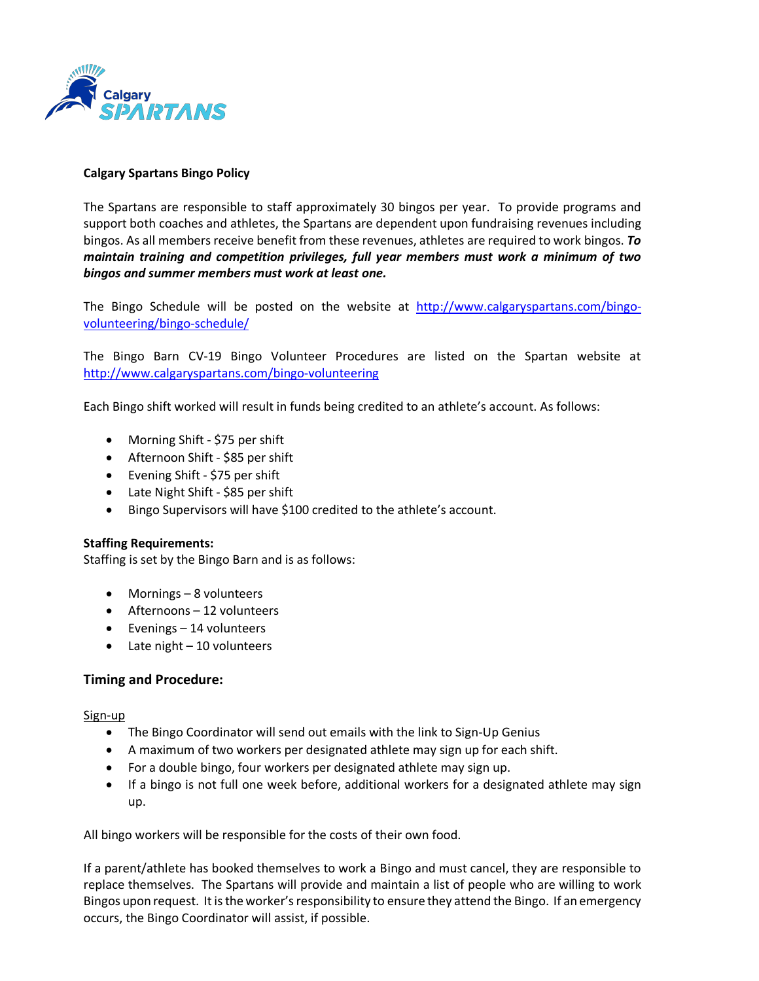

### **Calgary Spartans Bingo Policy**

The Spartans are responsible to staff approximately 30 bingos per year. To provide programs and support both coaches and athletes, the Spartans are dependent upon fundraising revenues including bingos. As all members receive benefit from these revenues, athletes are required to work bingos. *To maintain training and competition privileges, full year members must work a minimum of two bingos and summer members must work at least one.*

The Bingo Schedule will be posted on the website at [http://www.calgaryspartans.com/bingo](http://www.calgaryspartans.com/bingo-volunteering/bingo-schedule/)[volunteering/bingo-schedule/](http://www.calgaryspartans.com/bingo-volunteering/bingo-schedule/)

The Bingo Barn CV-19 Bingo Volunteer Procedures are listed on the Spartan website at http://www.calgaryspartans.com/bingo-volunteering

Each Bingo shift worked will result in funds being credited to an athlete's account. As follows:

- Morning Shift \$75 per shift
- Afternoon Shift \$85 per shift
- Evening Shift \$75 per shift
- Late Night Shift \$85 per shift
- Bingo Supervisors will have \$100 credited to the athlete's account.

### **Staffing Requirements:**

Staffing is set by the Bingo Barn and is as follows:

- Mornings 8 volunteers
- Afternoons 12 volunteers
- Evenings 14 volunteers
- Late night 10 volunteers

### **Timing and Procedure:**

Sign-up

- The Bingo Coordinator will send out emails with the link to Sign-Up Genius
- A maximum of two workers per designated athlete may sign up for each shift.
- For a double bingo, four workers per designated athlete may sign up.
- If a bingo is not full one week before, additional workers for a designated athlete may sign up.

All bingo workers will be responsible for the costs of their own food.

If a parent/athlete has booked themselves to work a Bingo and must cancel, they are responsible to replace themselves. The Spartans will provide and maintain a list of people who are willing to work Bingos upon request. It is the worker's responsibility to ensure they attend the Bingo. If an emergency occurs, the Bingo Coordinator will assist, if possible.